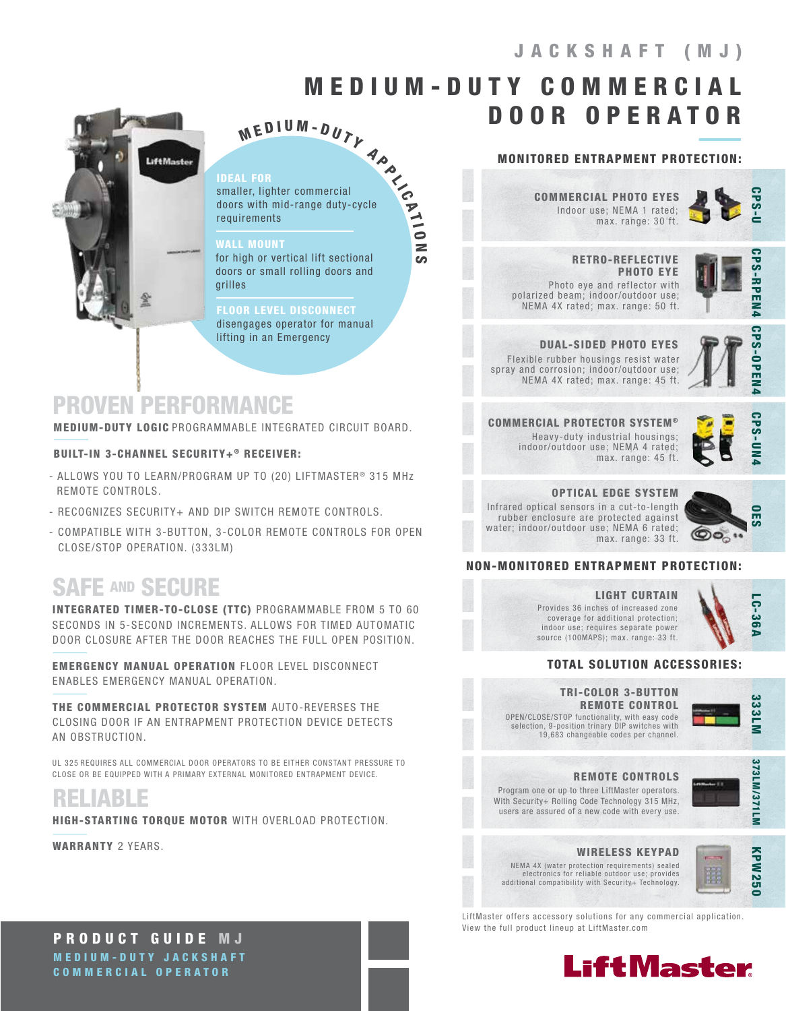# JACKSHAFT (MJ)

# M E D I U M - D U T Y C O M M E R C I A L DOOR OPERATOR



### IDEAL FOR

 $M$  E D I U M - D U T Y<br>
Let FOR<br>
Her, lighter commercial<br>
s with mid-range duty-cycle<br>
irements smaller, lighter commercial doors with mid-range duty-cycle requirements

### WALL MOUNT

for high or vertical lift sectional doors or small rolling doors and grilles

### **ELOOR LEVEL DISCONNECT**

disengages operator for manual lifting in an Emergency

# PROVEN PERFORMANCE

MEDIUM-DUTY LOGIC PROGRAMMABLE INTEGRATED CIRCUIT BOARD.

### BUILT-IN 3-CHANNEL SECURITY+® RECEIVER:

- ALLOWS YOU TO LEARN/PROGRAM UP TO (20) LIFTMASTER<sup>®</sup> 315 MHz REMOTE CONTROLS.
- RECOGNIZES SECURITY+ AND DIP SWITCH REMOTE CONTROLS.
- COMPATIBLE WITH 3-BUTTON, 3-COLOR REMOTE CONTROLS FOR OPEN CLOSE/STOP OPERATION. (333LM)

# SAFE AND SECURE

INTEGRATED TIMER-TO-CLOSE (TTC) PROGRAMMABLE FROM 5 TO 60 SECONDS IN 5-SECOND INCREMENTS. ALLOWS FOR TIMED AUTOMATIC DOOR CLOSURE AFTER THE DOOR REACHES THE FULL OPEN POSITION.

EMERGENCY MANUAL OPERATION FLOOR LEVEL DISCONNECT ENABLES EMERGENCY MANUAL OPERATION.

THE COMMERCIAL PROTECTOR SYSTEM AUTO-REVERSES THE CLOSING DOOR IF AN ENTRAPMENT PROTECTION DEVICE DETECTS AN OBSTRUCTION.

UL 325 REQUIRES ALL COMMERCIAL DOOR OPERATORS TO BE EITHER CONSTANT PRESSURE TO CLOSE OR BE EQUIPPED WITH A PRIMARY EXTERNAL MONITORED ENTRAPMENT DEVICE.

RELIABLE

HIGH-STARTING TORQUE MOTOR WITH OVERLOAD PROTECTION.

WARRANTY 2 YEARS.

# MONITORED ENTRAPMENT PROTECTION:

Indoor use; NEMA 1 rated; max. range: 30 ft. COMMERCIAL PHOTO EYES



 RETRO-REFLECTIVE PHOTO EYE Photo eye and reflector with polarized beam; indoor/outdoor use; NEMA 4X rated; max. range: 50 ft.



DUAL-SIDED PHOTO EYES Flexible rubber housings resist water spray and corrosion; indoor/outdoor use;

NEMA 4X rated; max. range: 45 ft.



COMMERCIAL PROTECTOR SYSTEM ® Heavy-duty industrial housings; indoor/outdoor use; NEMA 4 rated; max. range: 45 ft.



# OPTICAL EDGE SYSTEM

Infrared optical sensors in a cut-to-length rubber enclosure are protected against water; indoor/outdoor use; NEMA 6 rated; max. range: 33 ft.



### NON-MONITORED ENTRAPMENT PROTECTION:

# LIGHT CURTAIN

Provides 36 inches of increased zone coverage for additional protection; indoor use; requires separate power source (100MAPS); max. range: 33 ft.

## TOTAL SOLUTION ACCESSORIES:

OPEN/CLOSE/STOP functionality, with easy code selection, 9-position trinary DIP switches with 19,683 changeable codes per channel. TRI-COLOR 3-BUTTON REMOTE CONTROL



LC-36A

**LC-36/** 

Program one or up to three LiftMaster operators. REMOTE CONTROLS

With Security+ Rolling Code Technology 315 MHz, users are assured of a new code with every use.



# WIRELESS KEYPAD

NEMA 4X (water protection requirements) sealed electronics for reliable outdoor use; provides additional compatibility with Security+ Technology.



LiftMaster offers accessory solutions for any commercial application. View the full product lineup at LiftMaster.com



PRODUCT GUIDE M J MEDIUM-DUTY JACKSHAFT COMMERCIAL OPERATOR

n

N

OES CPS-RPEN4 CPS-U CPS-OPEN4**PS-RPEN4** CPS-OPEN4